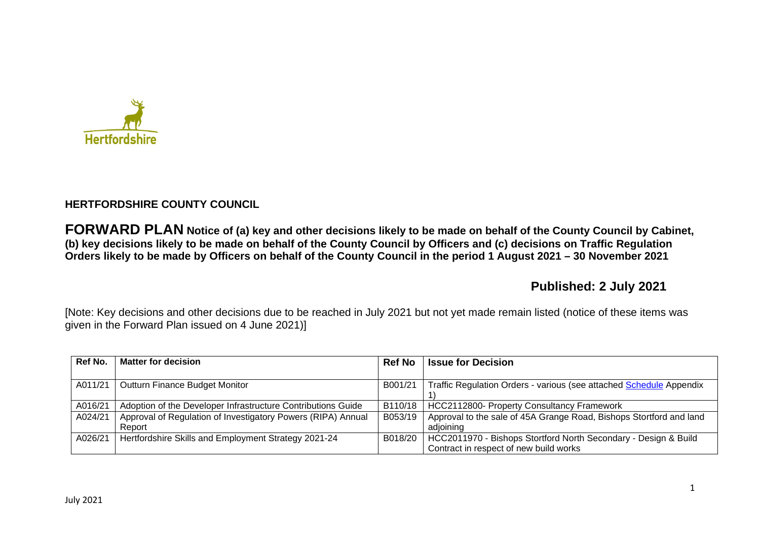

# **HERTFORDSHIRE COUNTY COUNCIL**

**FORWARD PLAN Notice of (a) key and other decisions likely to be made on behalf of the County Council by Cabinet, (b) key decisions likely to be made on behalf of the County Council by Officers and (c) decisions on Traffic Regulation Orders likely to be made by Officers on behalf of the County Council in the period 1 August 2021 – 30 November 2021** 

# **Published: 2 July 2021**

[Note: Key decisions and other decisions due to be reached in July 2021 but not yet made remain listed (notice of these items was given in the Forward Plan issued on 4 June 2021)]

| Ref No. | <b>Matter for decision</b>                                   | <b>Ref No</b> | <b>Issue for Decision</b>                                           |
|---------|--------------------------------------------------------------|---------------|---------------------------------------------------------------------|
|         |                                                              |               |                                                                     |
| A011/21 | Outturn Finance Budget Monitor                               | B001/21       | Traffic Regulation Orders - various (see attached Schedule Appendix |
|         |                                                              |               |                                                                     |
| A016/21 | Adoption of the Developer Infrastructure Contributions Guide | B110/18       | <b>HCC2112800- Property Consultancy Framework</b>                   |
| A024/21 | Approval of Regulation of Investigatory Powers (RIPA) Annual | B053/19       | Approval to the sale of 45A Grange Road, Bishops Stortford and land |
|         | Report                                                       |               | adioining                                                           |
| A026/21 | Hertfordshire Skills and Employment Strategy 2021-24         | B018/20       | HCC2011970 - Bishops Stortford North Secondary - Design & Build     |
|         |                                                              |               | Contract in respect of new build works                              |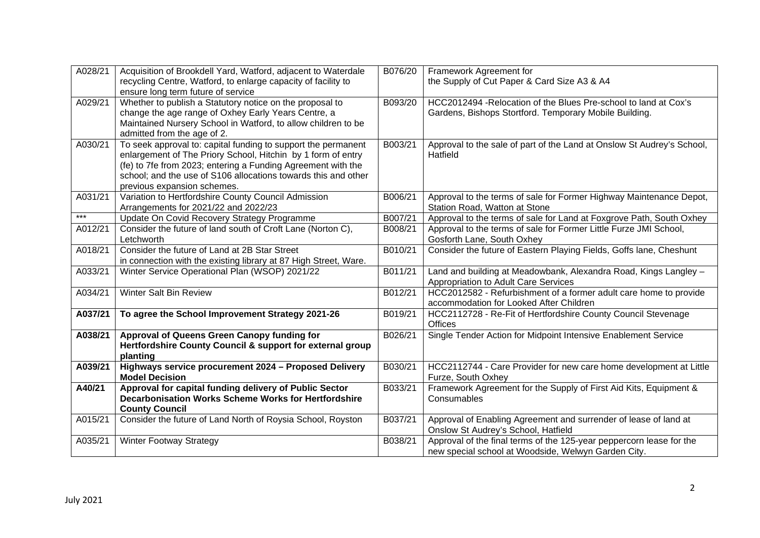| A028/21 | Acquisition of Brookdell Yard, Watford, adjacent to Waterdale<br>recycling Centre, Watford, to enlarge capacity of facility to                                                                                                                                                                 | B076/20 | Framework Agreement for<br>the Supply of Cut Paper & Card Size A3 & A4                                                      |
|---------|------------------------------------------------------------------------------------------------------------------------------------------------------------------------------------------------------------------------------------------------------------------------------------------------|---------|-----------------------------------------------------------------------------------------------------------------------------|
| A029/21 | ensure long term future of service<br>Whether to publish a Statutory notice on the proposal to<br>change the age range of Oxhey Early Years Centre, a<br>Maintained Nursery School in Watford, to allow children to be<br>admitted from the age of 2.                                          | B093/20 | HCC2012494 - Relocation of the Blues Pre-school to land at Cox's<br>Gardens, Bishops Stortford. Temporary Mobile Building.  |
| A030/21 | To seek approval to: capital funding to support the permanent<br>enlargement of The Priory School, Hitchin by 1 form of entry<br>(fe) to 7fe from 2023; entering a Funding Agreement with the<br>school; and the use of S106 allocations towards this and other<br>previous expansion schemes. | B003/21 | Approval to the sale of part of the Land at Onslow St Audrey's School,<br>Hatfield                                          |
| A031/21 | Variation to Hertfordshire County Council Admission<br>Arrangements for 2021/22 and 2022/23                                                                                                                                                                                                    | B006/21 | Approval to the terms of sale for Former Highway Maintenance Depot,<br>Station Road, Watton at Stone                        |
| $***$   | Update On Covid Recovery Strategy Programme                                                                                                                                                                                                                                                    | B007/21 | Approval to the terms of sale for Land at Foxgrove Path, South Oxhey                                                        |
| A012/21 | Consider the future of land south of Croft Lane (Norton C),<br>Letchworth                                                                                                                                                                                                                      | B008/21 | Approval to the terms of sale for Former Little Furze JMI School,<br>Gosforth Lane, South Oxhey                             |
| A018/21 | Consider the future of Land at 2B Star Street<br>in connection with the existing library at 87 High Street, Ware.                                                                                                                                                                              | B010/21 | Consider the future of Eastern Playing Fields, Goffs lane, Cheshunt                                                         |
| A033/21 | Winter Service Operational Plan (WSOP) 2021/22                                                                                                                                                                                                                                                 | B011/21 | Land and building at Meadowbank, Alexandra Road, Kings Langley -<br>Appropriation to Adult Care Services                    |
| A034/21 | Winter Salt Bin Review                                                                                                                                                                                                                                                                         | B012/21 | HCC2012582 - Refurbishment of a former adult care home to provide<br>accommodation for Looked After Children                |
| A037/21 | To agree the School Improvement Strategy 2021-26                                                                                                                                                                                                                                               | B019/21 | HCC2112728 - Re-Fit of Hertfordshire County Council Stevenage<br><b>Offices</b>                                             |
| A038/21 | Approval of Queens Green Canopy funding for<br>Hertfordshire County Council & support for external group<br>planting                                                                                                                                                                           | B026/21 | Single Tender Action for Midpoint Intensive Enablement Service                                                              |
| A039/21 | Highways service procurement 2024 - Proposed Delivery<br><b>Model Decision</b>                                                                                                                                                                                                                 | B030/21 | HCC2112744 - Care Provider for new care home development at Little<br>Furze, South Oxhey                                    |
| A40/21  | Approval for capital funding delivery of Public Sector<br><b>Decarbonisation Works Scheme Works for Hertfordshire</b><br><b>County Council</b>                                                                                                                                                 | B033/21 | Framework Agreement for the Supply of First Aid Kits, Equipment &<br>Consumables                                            |
| A015/21 | Consider the future of Land North of Roysia School, Royston                                                                                                                                                                                                                                    | B037/21 | Approval of Enabling Agreement and surrender of lease of land at<br>Onslow St Audrey's School, Hatfield                     |
| A035/21 | <b>Winter Footway Strategy</b>                                                                                                                                                                                                                                                                 | B038/21 | Approval of the final terms of the 125-year peppercorn lease for the<br>new special school at Woodside, Welwyn Garden City. |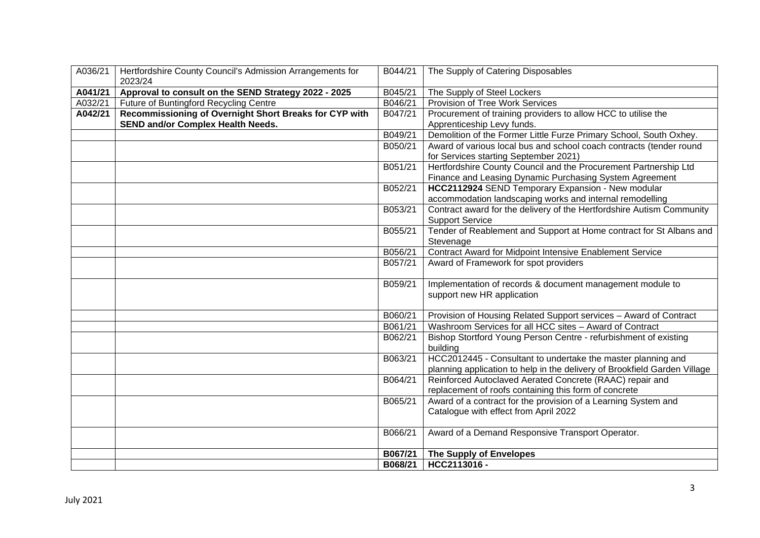| A036/21 | Hertfordshire County Council's Admission Arrangements for<br>2023/24 | B044/21 | The Supply of Catering Disposables                                                                      |
|---------|----------------------------------------------------------------------|---------|---------------------------------------------------------------------------------------------------------|
| A041/21 | Approval to consult on the SEND Strategy 2022 - 2025                 | B045/21 | The Supply of Steel Lockers                                                                             |
| A032/21 | Future of Buntingford Recycling Centre                               | B046/21 | Provision of Tree Work Services                                                                         |
| A042/21 | Recommissioning of Overnight Short Breaks for CYP with               | B047/21 | Procurement of training providers to allow HCC to utilise the                                           |
|         | <b>SEND and/or Complex Health Needs.</b>                             |         | Apprenticeship Levy funds.                                                                              |
|         |                                                                      | B049/21 | Demolition of the Former Little Furze Primary School, South Oxhey.                                      |
|         |                                                                      | B050/21 | Award of various local bus and school coach contracts (tender round                                     |
|         |                                                                      |         | for Services starting September 2021)                                                                   |
|         |                                                                      | B051/21 | Hertfordshire County Council and the Procurement Partnership Ltd                                        |
|         |                                                                      |         | Finance and Leasing Dynamic Purchasing System Agreement                                                 |
|         |                                                                      | B052/21 | HCC2112924 SEND Temporary Expansion - New modular                                                       |
|         |                                                                      |         | accommodation landscaping works and internal remodelling                                                |
|         |                                                                      | B053/21 | Contract award for the delivery of the Hertfordshire Autism Community                                   |
|         |                                                                      | B055/21 | <b>Support Service</b><br>Tender of Reablement and Support at Home contract for St Albans and           |
|         |                                                                      |         | Stevenage                                                                                               |
|         |                                                                      | B056/21 | Contract Award for Midpoint Intensive Enablement Service                                                |
|         |                                                                      | B057/21 | Award of Framework for spot providers                                                                   |
|         |                                                                      |         |                                                                                                         |
|         |                                                                      | B059/21 | Implementation of records & document management module to                                               |
|         |                                                                      |         | support new HR application                                                                              |
|         |                                                                      |         |                                                                                                         |
|         |                                                                      | B060/21 | Provision of Housing Related Support services - Award of Contract                                       |
|         |                                                                      | B061/21 | Washroom Services for all HCC sites - Award of Contract                                                 |
|         |                                                                      | B062/21 | Bishop Stortford Young Person Centre - refurbishment of existing                                        |
|         |                                                                      |         | building                                                                                                |
|         |                                                                      | B063/21 | HCC2012445 - Consultant to undertake the master planning and                                            |
|         |                                                                      |         | planning application to help in the delivery of Brookfield Garden Village                               |
|         |                                                                      | B064/21 | Reinforced Autoclaved Aerated Concrete (RAAC) repair and                                                |
|         |                                                                      |         | replacement of roofs containing this form of concrete                                                   |
|         |                                                                      | B065/21 | Award of a contract for the provision of a Learning System and<br>Catalogue with effect from April 2022 |
|         |                                                                      |         |                                                                                                         |
|         |                                                                      | B066/21 | Award of a Demand Responsive Transport Operator.                                                        |
|         |                                                                      |         |                                                                                                         |
|         |                                                                      | B067/21 | <b>The Supply of Envelopes</b>                                                                          |
|         |                                                                      | B068/21 | HCC2113016 -                                                                                            |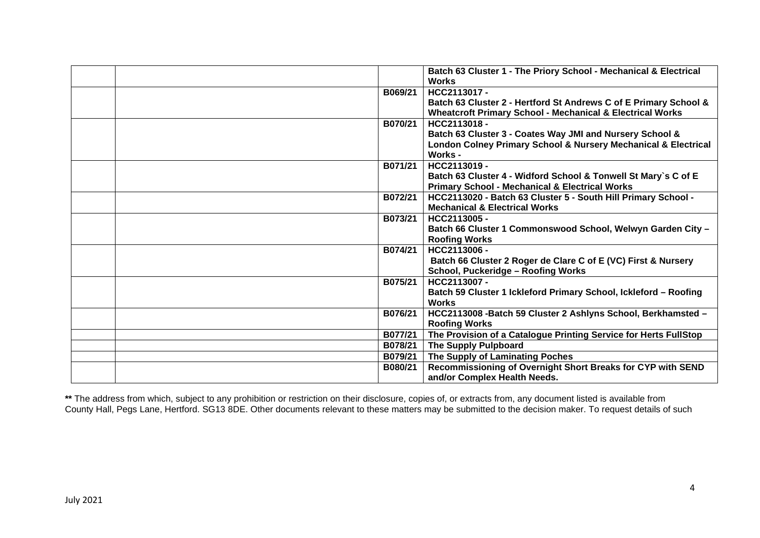|         | Batch 63 Cluster 1 - The Priory School - Mechanical & Electrical<br><b>Works</b> |
|---------|----------------------------------------------------------------------------------|
|         |                                                                                  |
| B069/21 | HCC2113017 -                                                                     |
|         | Batch 63 Cluster 2 - Hertford St Andrews C of E Primary School &                 |
|         | <b>Wheatcroft Primary School - Mechanical &amp; Electrical Works</b>             |
| B070/21 | HCC2113018 -                                                                     |
|         | Batch 63 Cluster 3 - Coates Way JMI and Nursery School &                         |
|         | London Colney Primary School & Nursery Mechanical & Electrical                   |
|         | Works -                                                                          |
| B071/21 | HCC2113019 -                                                                     |
|         | Batch 63 Cluster 4 - Widford School & Tonwell St Mary's C of E                   |
|         | <b>Primary School - Mechanical &amp; Electrical Works</b>                        |
| B072/21 | HCC2113020 - Batch 63 Cluster 5 - South Hill Primary School -                    |
|         | <b>Mechanical &amp; Electrical Works</b>                                         |
| B073/21 | HCC2113005 -                                                                     |
|         | Batch 66 Cluster 1 Commonswood School, Welwyn Garden City -                      |
|         | <b>Roofing Works</b>                                                             |
| B074/21 | HCC2113006 -                                                                     |
|         | Batch 66 Cluster 2 Roger de Clare C of E (VC) First & Nursery                    |
|         | School, Puckeridge - Roofing Works                                               |
| B075/21 | HCC2113007 -                                                                     |
|         | Batch 59 Cluster 1 Ickleford Primary School, Ickleford - Roofing                 |
|         | <b>Works</b>                                                                     |
| B076/21 | HCC2113008 - Batch 59 Cluster 2 Ashlyns School, Berkhamsted -                    |
|         | <b>Roofing Works</b>                                                             |
| B077/21 | The Provision of a Catalogue Printing Service for Herts FullStop                 |
| B078/21 | <b>The Supply Pulpboard</b>                                                      |
| B079/21 | The Supply of Laminating Poches                                                  |
| B080/21 | Recommissioning of Overnight Short Breaks for CYP with SEND                      |
|         | and/or Complex Health Needs.                                                     |

**\*\*** The address from which, subject to any prohibition or restriction on their disclosure, copies of, or extracts from, any document listed is available from County Hall, Pegs Lane, Hertford. SG13 8DE. Other documents relevant to these matters may be submitted to the decision maker. To request details of such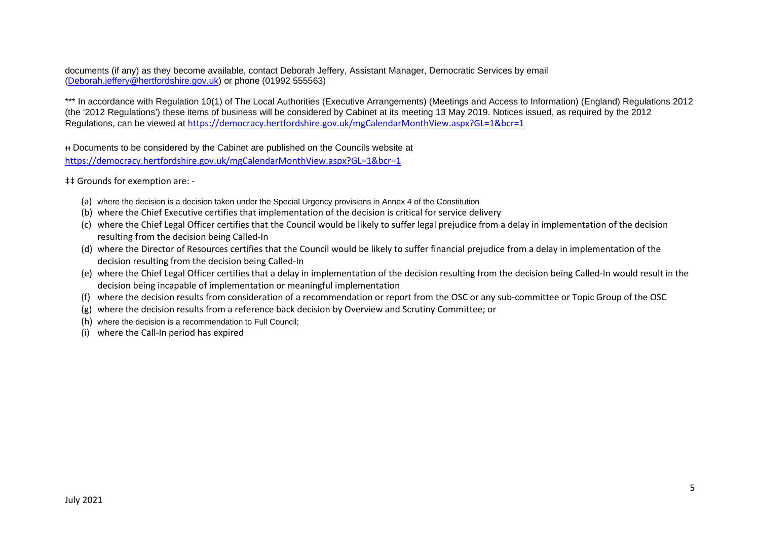documents (if any) as they become available, contact Deborah Jeffery, Assistant Manager, Democratic Services by email (Deborah.jeffery@hertfordshire.gov.uk) or phone (01992 555563)

\*\*\* In accordance with Regulation 10(1) of The Local Authorities (Executive Arrangements) (Meetings and Access to Information) (England) Regulations 2012 (the '2012 Regulations') these items of business will be considered by Cabinet at its meeting 13 May 2019. Notices issued, as required by the 2012 Regulations, can be viewed at https://democracy.hertfordshire.gov.uk/mgCalendarMonthView.aspx?GL=1&bcr=1

ᵻᵻ Documents to be considered by the Cabinet are published on the Councils website at https://democracy.hertfordshire.gov.uk/mgCalendarMonthView.aspx?GL=1&bcr=1

‡‡ Grounds for exemption are: -

- (a) where the decision is a decision taken under the Special Urgency provisions in Annex 4 of the Constitution
- (b) where the Chief Executive certifies that implementation of the decision is critical for service delivery
- (c) where the Chief Legal Officer certifies that the Council would be likely to suffer legal prejudice from a delay in implementation of the decision resulting from the decision being Called-In
- (d) where the Director of Resources certifies that the Council would be likely to suffer financial prejudice from a delay in implementation of the decision resulting from the decision being Called-In
- (e) where the Chief Legal Officer certifies that a delay in implementation of the decision resulting from the decision being Called-In would result in the decision being incapable of implementation or meaningful implementation
- (f) where the decision results from consideration of a recommendation or report from the OSC or any sub-committee or Topic Group of the OSC
- (g) where the decision results from a reference back decision by Overview and Scrutiny Committee; or
- (h) where the decision is a recommendation to Full Council;
- (i) where the Call-In period has expired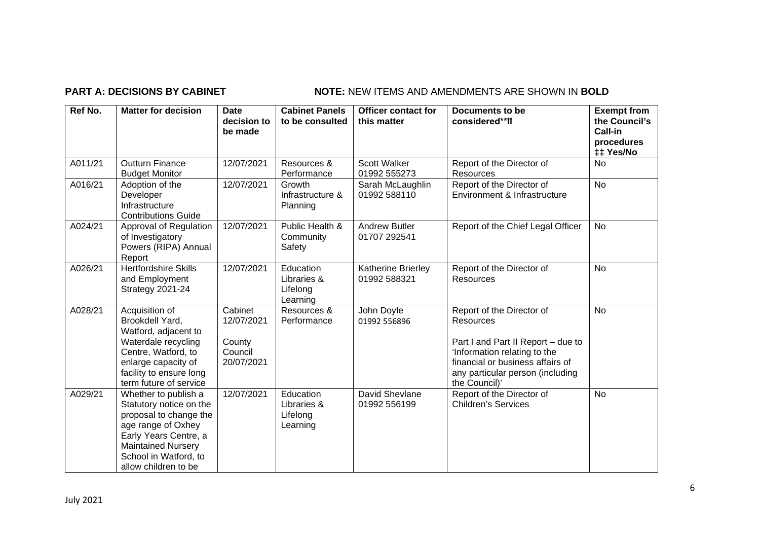# **PART A: DECISIONS BY CABINET NOTE:** NEW ITEMS AND AMENDMENTS ARE SHOWN IN BOLD

| Ref No. | <b>Matter for decision</b>                                                                                                                                                                             | <b>Date</b><br>decision to<br>be made                    | <b>Cabinet Panels</b><br>to be consulted         | <b>Officer contact for</b><br>this matter | <b>Documents to be</b><br>considered**II                                                                                                                                                                     | <b>Exempt from</b><br>the Council's<br>Call-in<br>procedures<br>‡‡ Yes/No |
|---------|--------------------------------------------------------------------------------------------------------------------------------------------------------------------------------------------------------|----------------------------------------------------------|--------------------------------------------------|-------------------------------------------|--------------------------------------------------------------------------------------------------------------------------------------------------------------------------------------------------------------|---------------------------------------------------------------------------|
| A011/21 | <b>Outturn Finance</b><br><b>Budget Monitor</b>                                                                                                                                                        | 12/07/2021                                               | Resources &<br>Performance                       | <b>Scott Walker</b><br>01992 555273       | Report of the Director of<br>Resources                                                                                                                                                                       | <b>No</b>                                                                 |
| A016/21 | Adoption of the<br>Developer<br>Infrastructure<br><b>Contributions Guide</b>                                                                                                                           | 12/07/2021                                               | Growth<br>Infrastructure &<br>Planning           | Sarah McLaughlin<br>01992 588110          | Report of the Director of<br>Environment & Infrastructure                                                                                                                                                    | <b>No</b>                                                                 |
| A024/21 | Approval of Regulation<br>of Investigatory<br>Powers (RIPA) Annual<br>Report                                                                                                                           | 12/07/2021                                               | Public Health &<br>Community<br>Safety           | <b>Andrew Butler</b><br>01707 292541      | Report of the Chief Legal Officer                                                                                                                                                                            | <b>No</b>                                                                 |
| A026/21 | <b>Hertfordshire Skills</b><br>and Employment<br>Strategy 2021-24                                                                                                                                      | 12/07/2021                                               | Education<br>Libraries &<br>Lifelong<br>Learning | Katherine Brierley<br>01992 588321        | Report of the Director of<br>Resources                                                                                                                                                                       | <b>No</b>                                                                 |
| A028/21 | Acquisition of<br>Brookdell Yard,<br>Watford, adjacent to<br>Waterdale recycling<br>Centre, Watford, to<br>enlarge capacity of<br>facility to ensure long<br>term future of service                    | Cabinet<br>12/07/2021<br>County<br>Council<br>20/07/2021 | Resources &<br>Performance                       | John Doyle<br>01992 556896                | Report of the Director of<br><b>Resources</b><br>Part I and Part II Report - due to<br>'Information relating to the<br>financial or business affairs of<br>any particular person (including<br>the Council)' | <b>No</b>                                                                 |
| A029/21 | Whether to publish a<br>Statutory notice on the<br>proposal to change the<br>age range of Oxhey<br>Early Years Centre, a<br><b>Maintained Nursery</b><br>School in Watford, to<br>allow children to be | 12/07/2021                                               | Education<br>Libraries &<br>Lifelong<br>Learning | David Shevlane<br>01992 556199            | Report of the Director of<br><b>Children's Services</b>                                                                                                                                                      | <b>No</b>                                                                 |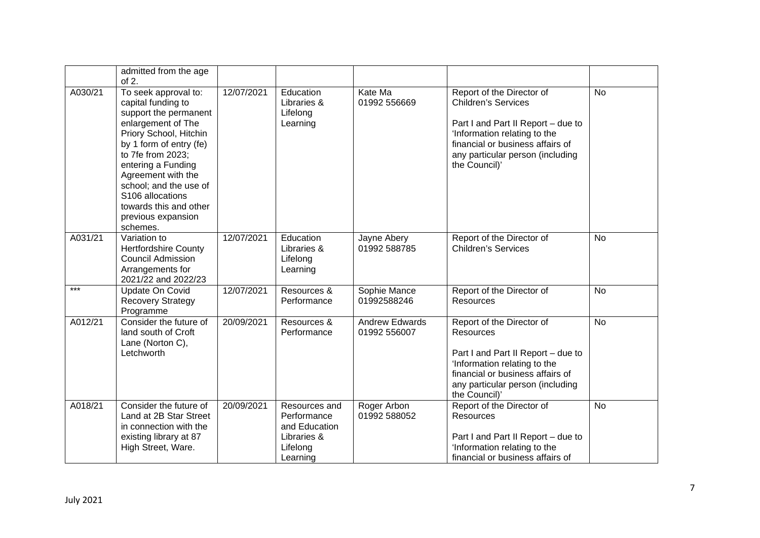|         | admitted from the age<br>of $2$ .                                                                                                                                                                                                                                                                                         |            |                                                                                      |                                       |                                                                                                                                                                                                                        |           |
|---------|---------------------------------------------------------------------------------------------------------------------------------------------------------------------------------------------------------------------------------------------------------------------------------------------------------------------------|------------|--------------------------------------------------------------------------------------|---------------------------------------|------------------------------------------------------------------------------------------------------------------------------------------------------------------------------------------------------------------------|-----------|
| A030/21 | To seek approval to:<br>capital funding to<br>support the permanent<br>enlargement of The<br>Priory School, Hitchin<br>by 1 form of entry (fe)<br>to 7fe from 2023;<br>entering a Funding<br>Agreement with the<br>school; and the use of<br>S106 allocations<br>towards this and other<br>previous expansion<br>schemes. | 12/07/2021 | Education<br>Libraries &<br>Lifelong<br>Learning                                     | Kate Ma<br>01992 556669               | Report of the Director of<br><b>Children's Services</b><br>Part I and Part II Report - due to<br>'Information relating to the<br>financial or business affairs of<br>any particular person (including<br>the Council)' | <b>No</b> |
| A031/21 | Variation to<br><b>Hertfordshire County</b><br><b>Council Admission</b><br>Arrangements for<br>2021/22 and 2022/23                                                                                                                                                                                                        | 12/07/2021 | Education<br>Libraries &<br>Lifelong<br>Learning                                     | Jayne Abery<br>01992 588785           | Report of the Director of<br><b>Children's Services</b>                                                                                                                                                                | <b>No</b> |
| ***     | Update On Covid<br><b>Recovery Strategy</b><br>Programme                                                                                                                                                                                                                                                                  | 12/07/2021 | Resources &<br>Performance                                                           | Sophie Mance<br>01992588246           | Report of the Director of<br>Resources                                                                                                                                                                                 | <b>No</b> |
| A012/21 | Consider the future of<br>land south of Croft<br>Lane (Norton C),<br>Letchworth                                                                                                                                                                                                                                           | 20/09/2021 | Resources &<br>Performance                                                           | <b>Andrew Edwards</b><br>01992 556007 | Report of the Director of<br>Resources<br>Part I and Part II Report - due to<br>'Information relating to the<br>financial or business affairs of<br>any particular person (including<br>the Council)'                  | <b>No</b> |
| A018/21 | Consider the future of<br>Land at 2B Star Street<br>in connection with the<br>existing library at 87<br>High Street, Ware.                                                                                                                                                                                                | 20/09/2021 | Resources and<br>Performance<br>and Education<br>Libraries &<br>Lifelong<br>Learning | Roger Arbon<br>01992 588052           | Report of the Director of<br>Resources<br>Part I and Part II Report - due to<br>'Information relating to the<br>financial or business affairs of                                                                       | <b>No</b> |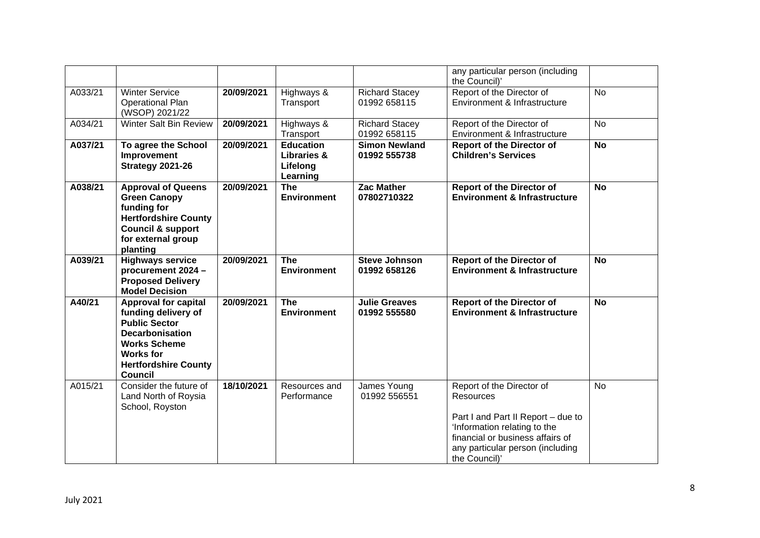|         |                                                                                                                                                                                                  |            |                                                                    |                                       | any particular person (including<br>the Council)'                                                                                                                                                     |           |
|---------|--------------------------------------------------------------------------------------------------------------------------------------------------------------------------------------------------|------------|--------------------------------------------------------------------|---------------------------------------|-------------------------------------------------------------------------------------------------------------------------------------------------------------------------------------------------------|-----------|
| A033/21 | <b>Winter Service</b><br><b>Operational Plan</b><br>(WSOP) 2021/22                                                                                                                               | 20/09/2021 | Highways &<br>Transport                                            | <b>Richard Stacey</b><br>01992 658115 | Report of the Director of<br>Environment & Infrastructure                                                                                                                                             | <b>No</b> |
| A034/21 | Winter Salt Bin Review                                                                                                                                                                           | 20/09/2021 | Highways &<br>Transport                                            | <b>Richard Stacey</b><br>01992 658115 | Report of the Director of<br>Environment & Infrastructure                                                                                                                                             | <b>No</b> |
| A037/21 | To agree the School<br>Improvement<br><b>Strategy 2021-26</b>                                                                                                                                    | 20/09/2021 | <b>Education</b><br><b>Libraries &amp;</b><br>Lifelong<br>Learning | <b>Simon Newland</b><br>01992 555738  | <b>Report of the Director of</b><br><b>Children's Services</b>                                                                                                                                        | <b>No</b> |
| A038/21 | <b>Approval of Queens</b><br><b>Green Canopy</b><br>funding for<br><b>Hertfordshire County</b><br><b>Council &amp; support</b><br>for external group<br>planting                                 | 20/09/2021 | <b>The</b><br><b>Environment</b>                                   | <b>Zac Mather</b><br>07802710322      | <b>Report of the Director of</b><br><b>Environment &amp; Infrastructure</b>                                                                                                                           | <b>No</b> |
| A039/21 | <b>Highways service</b><br>procurement 2024 -<br><b>Proposed Delivery</b><br><b>Model Decision</b>                                                                                               | 20/09/2021 | <b>The</b><br><b>Environment</b>                                   | <b>Steve Johnson</b><br>01992 658126  | <b>Report of the Director of</b><br><b>Environment &amp; Infrastructure</b>                                                                                                                           | <b>No</b> |
| A40/21  | <b>Approval for capital</b><br>funding delivery of<br><b>Public Sector</b><br><b>Decarbonisation</b><br><b>Works Scheme</b><br><b>Works for</b><br><b>Hertfordshire County</b><br><b>Council</b> | 20/09/2021 | <b>The</b><br><b>Environment</b>                                   | <b>Julie Greaves</b><br>01992 555580  | <b>Report of the Director of</b><br><b>Environment &amp; Infrastructure</b>                                                                                                                           | <b>No</b> |
| A015/21 | Consider the future of<br>Land North of Roysia<br>School, Royston                                                                                                                                | 18/10/2021 | Resources and<br>Performance                                       | James Young<br>01992 556551           | Report of the Director of<br>Resources<br>Part I and Part II Report - due to<br>'Information relating to the<br>financial or business affairs of<br>any particular person (including<br>the Council)' | No        |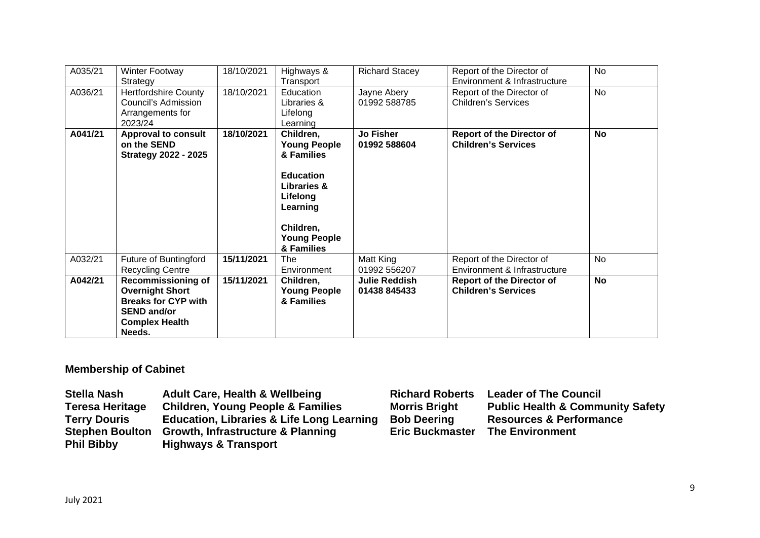| A035/21 | Winter Footway<br>Strategy                                                                                                                 | 18/10/2021 | Highways &<br>Transport                                                                                                                                                | <b>Richard Stacey</b>                | Report of the Director of<br>Environment & Infrastructure      | <b>No</b> |
|---------|--------------------------------------------------------------------------------------------------------------------------------------------|------------|------------------------------------------------------------------------------------------------------------------------------------------------------------------------|--------------------------------------|----------------------------------------------------------------|-----------|
| A036/21 | <b>Hertfordshire County</b><br>Council's Admission<br>Arrangements for<br>2023/24                                                          | 18/10/2021 | Education<br>Libraries &<br>Lifelong<br>Learning                                                                                                                       | Jayne Abery<br>01992 588785          | Report of the Director of<br><b>Children's Services</b>        | <b>No</b> |
| A041/21 | <b>Approval to consult</b><br>on the SEND<br><b>Strategy 2022 - 2025</b>                                                                   | 18/10/2021 | Children,<br><b>Young People</b><br>& Families<br><b>Education</b><br><b>Libraries &amp;</b><br>Lifelong<br>Learning<br>Children,<br><b>Young People</b><br>& Families | <b>Jo Fisher</b><br>01992 588604     | <b>Report of the Director of</b><br><b>Children's Services</b> | <b>No</b> |
| A032/21 | Future of Buntingford<br><b>Recycling Centre</b>                                                                                           | 15/11/2021 | The<br>Environment                                                                                                                                                     | Matt King<br>01992 556207            | Report of the Director of<br>Environment & Infrastructure      | <b>No</b> |
| A042/21 | <b>Recommissioning of</b><br><b>Overnight Short</b><br><b>Breaks for CYP with</b><br><b>SEND and/or</b><br><b>Complex Health</b><br>Needs. | 15/11/2021 | Children,<br><b>Young People</b><br>& Families                                                                                                                         | <b>Julie Reddish</b><br>01438 845433 | <b>Report of the Director of</b><br><b>Children's Services</b> | <b>No</b> |

# **Membership of Cabinet**

| <b>Stella Nash</b>     | <b>Adult Care, Health &amp; Wellbeing</b>            | <b>Richard Roberts</b> | <b>Leader of The Council</b>                |
|------------------------|------------------------------------------------------|------------------------|---------------------------------------------|
| <b>Teresa Heritage</b> | <b>Children, Young People &amp; Families</b>         | <b>Morris Bright</b>   | <b>Public Health &amp; Community Safety</b> |
| <b>Terry Douris</b>    | <b>Education, Libraries &amp; Life Long Learning</b> | <b>Bob Deering</b>     | <b>Resources &amp; Performance</b>          |
| <b>Stephen Boulton</b> | <b>Growth, Infrastructure &amp; Planning</b>         | <b>Eric Buckmaster</b> | <b>The Environment</b>                      |
| <b>Phil Bibby</b>      | <b>Highways &amp; Transport</b>                      |                        |                                             |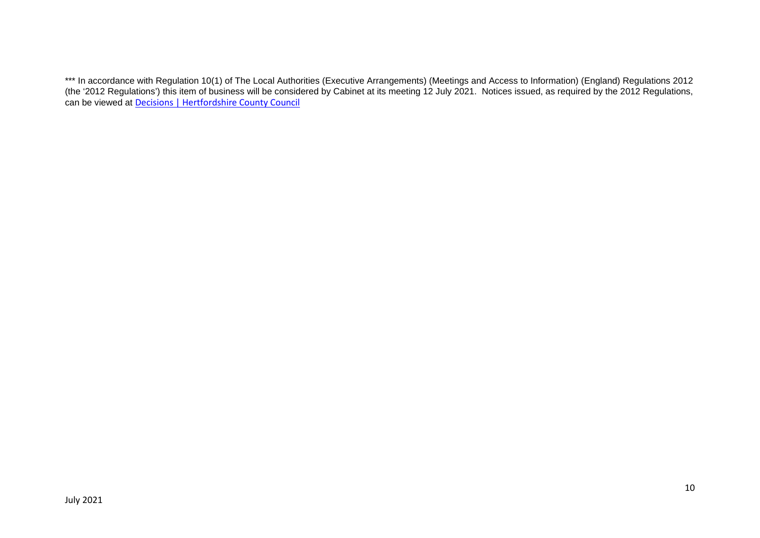\*\*\* In accordance with Regulation 10(1) of The Local Authorities (Executive Arrangements) (Meetings and Access to Information) (England) Regulations 2012 (the '2012 Regulations') this item of business will be considered by Cabinet at its meeting 12 July 2021. Notices issued, as required by the 2012 Regulations, can be viewed at Decisions | Hertfordshire County Council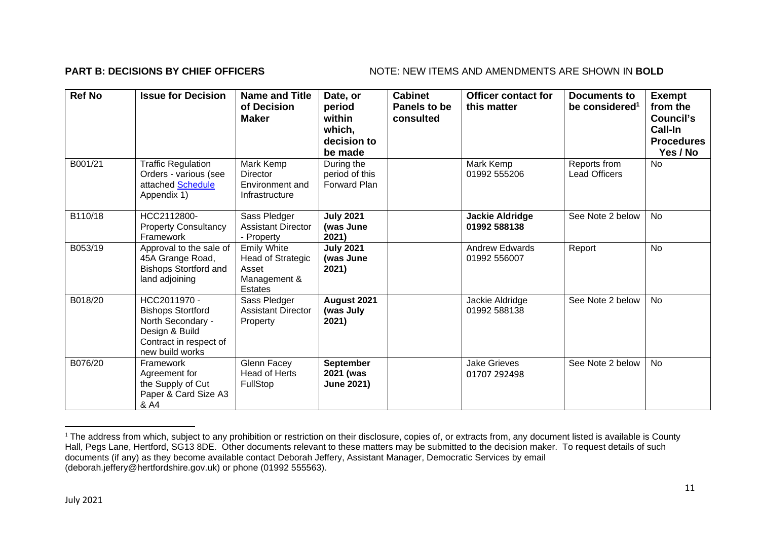### **PART B: DECISIONS BY CHIEF OFFICERS** NOTE: NEW ITEMS AND AMENDMENTS ARE SHOWN IN BOLD

| <b>Ref No</b> | <b>Issue for Decision</b>                                                                                                    | <b>Name and Title</b><br>of Decision<br><b>Maker</b>                        | Date, or<br>period<br>within<br>which,<br>decision to<br>be made | <b>Cabinet</b><br>Panels to be<br>consulted | <b>Officer contact for</b><br>this matter | <b>Documents to</b><br>be considered <sup>1</sup> | <b>Exempt</b><br>from the<br><b>Council's</b><br>Call-In<br><b>Procedures</b><br>Yes / No |
|---------------|------------------------------------------------------------------------------------------------------------------------------|-----------------------------------------------------------------------------|------------------------------------------------------------------|---------------------------------------------|-------------------------------------------|---------------------------------------------------|-------------------------------------------------------------------------------------------|
| B001/21       | <b>Traffic Regulation</b><br>Orders - various (see<br>attached Schedule<br>Appendix 1)                                       | Mark Kemp<br><b>Director</b><br>Environment and<br>Infrastructure           | During the<br>period of this<br>Forward Plan                     |                                             | Mark Kemp<br>01992 555206                 | Reports from<br><b>Lead Officers</b>              | <b>No</b>                                                                                 |
| B110/18       | HCC2112800-<br><b>Property Consultancy</b><br>Framework                                                                      | Sass Pledger<br><b>Assistant Director</b><br>- Property                     | <b>July 2021</b><br>(was June<br>2021)                           |                                             | <b>Jackie Aldridge</b><br>01992 588138    | See Note 2 below                                  | <b>No</b>                                                                                 |
| B053/19       | Approval to the sale of<br>45A Grange Road,<br><b>Bishops Stortford and</b><br>land adjoining                                | <b>Emily White</b><br>Head of Strategic<br>Asset<br>Management &<br>Estates | <b>July 2021</b><br>(was June<br>2021)                           |                                             | <b>Andrew Edwards</b><br>01992 556007     | Report                                            | <b>No</b>                                                                                 |
| B018/20       | HCC2011970 -<br><b>Bishops Stortford</b><br>North Secondary -<br>Design & Build<br>Contract in respect of<br>new build works | Sass Pledger<br><b>Assistant Director</b><br>Property                       | August 2021<br>(was July<br>2021)                                |                                             | Jackie Aldridge<br>01992 588138           | See Note 2 below                                  | <b>No</b>                                                                                 |
| B076/20       | Framework<br>Agreement for<br>the Supply of Cut<br>Paper & Card Size A3<br>& A4                                              | Glenn Facey<br><b>Head of Herts</b><br>FullStop                             | <b>September</b><br>2021 (was<br><b>June 2021)</b>               |                                             | <b>Jake Grieves</b><br>01707 292498       | See Note 2 below                                  | No                                                                                        |

<sup>&</sup>lt;sup>1</sup> The address from which, subject to any prohibition or restriction on their disclosure, copies of, or extracts from, any document listed is available is County Hall, Pegs Lane, Hertford, SG13 8DE. Other documents relevant to these matters may be submitted to the decision maker. To request details of such documents (if any) as they become available contact Deborah Jeffery, Assistant Manager, Democratic Services by email (deborah.jeffery@hertfordshire.gov.uk) or phone (01992 555563).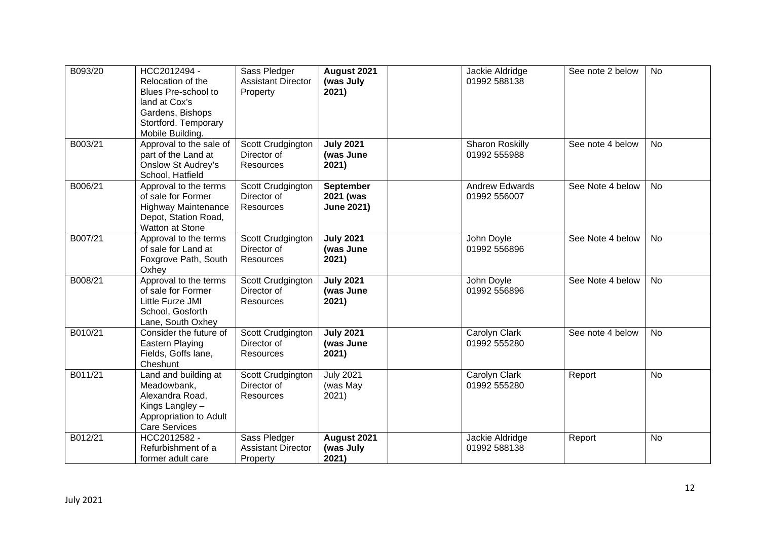| B093/20 | HCC2012494 -<br>Relocation of the<br>Blues Pre-school to<br>land at Cox's<br>Gardens, Bishops<br>Stortford. Temporary<br>Mobile Building. | Sass Pledger<br><b>Assistant Director</b><br>Property | August 2021<br>(was July<br>2021)           | Jackie Aldridge<br>01992 588138       | See note 2 below | <b>No</b> |
|---------|-------------------------------------------------------------------------------------------------------------------------------------------|-------------------------------------------------------|---------------------------------------------|---------------------------------------|------------------|-----------|
| B003/21 | Approval to the sale of<br>part of the Land at<br><b>Onslow St Audrey's</b><br>School, Hatfield                                           | Scott Crudgington<br>Director of<br>Resources         | <b>July 2021</b><br>(was June<br>2021)      | Sharon Roskilly<br>01992 555988       | See note 4 below | <b>No</b> |
| B006/21 | Approval to the terms<br>of sale for Former<br><b>Highway Maintenance</b><br>Depot, Station Road,<br>Watton at Stone                      | Scott Crudgington<br>Director of<br>Resources         | September<br>2021 (was<br><b>June 2021)</b> | <b>Andrew Edwards</b><br>01992 556007 | See Note 4 below | <b>No</b> |
| B007/21 | Approval to the terms<br>of sale for Land at<br>Foxgrove Path, South<br>Oxhey                                                             | Scott Crudgington<br>Director of<br>Resources         | <b>July 2021</b><br>(was June<br>2021)      | John Doyle<br>01992 556896            | See Note 4 below | <b>No</b> |
| B008/21 | Approval to the terms<br>of sale for Former<br>Little Furze JMI<br>School, Gosforth<br>Lane, South Oxhey                                  | Scott Crudgington<br>Director of<br><b>Resources</b>  | <b>July 2021</b><br>(was June<br>2021)      | John Doyle<br>01992 556896            | See Note 4 below | No        |
| B010/21 | Consider the future of<br>Eastern Playing<br>Fields, Goffs lane,<br>Cheshunt                                                              | Scott Crudgington<br>Director of<br><b>Resources</b>  | <b>July 2021</b><br>(was June<br>2021)      | Carolyn Clark<br>01992 555280         | See note 4 below | <b>No</b> |
| B011/21 | Land and building at<br>Meadowbank,<br>Alexandra Road,<br>Kings Langley -<br>Appropriation to Adult<br><b>Care Services</b>               | Scott Crudgington<br>Director of<br><b>Resources</b>  | <b>July 2021</b><br>(was May<br>2021)       | Carolyn Clark<br>01992 555280         | Report           | <b>No</b> |
| B012/21 | HCC2012582 -<br>Refurbishment of a<br>former adult care                                                                                   | Sass Pledger<br><b>Assistant Director</b><br>Property | August 2021<br>(was July<br>2021)           | Jackie Aldridge<br>01992 588138       | Report           | <b>No</b> |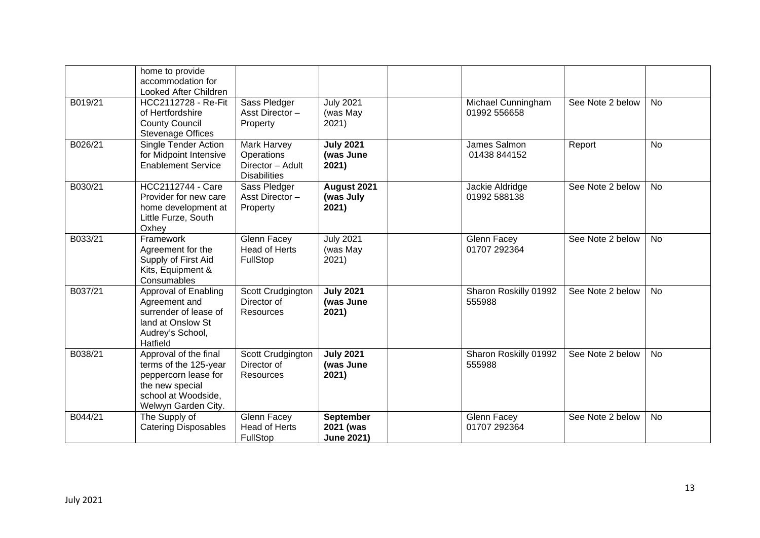|         | home to provide<br>accommodation for<br>Looked After Children                                                                           |                                                                      |                                             |                                    |                  |           |
|---------|-----------------------------------------------------------------------------------------------------------------------------------------|----------------------------------------------------------------------|---------------------------------------------|------------------------------------|------------------|-----------|
| B019/21 | HCC2112728 - Re-Fit<br>of Hertfordshire<br><b>County Council</b><br><b>Stevenage Offices</b>                                            | Sass Pledger<br>Asst Director-<br>Property                           | <b>July 2021</b><br>(was May<br>2021)       | Michael Cunningham<br>01992 556658 | See Note 2 below | <b>No</b> |
| B026/21 | <b>Single Tender Action</b><br>for Midpoint Intensive<br><b>Enablement Service</b>                                                      | Mark Harvey<br>Operations<br>Director - Adult<br><b>Disabilities</b> | <b>July 2021</b><br>(was June<br>2021)      | James Salmon<br>01438 844152       | Report           | <b>No</b> |
| B030/21 | HCC2112744 - Care<br>Provider for new care<br>home development at<br>Little Furze, South<br>Oxhey                                       | Sass Pledger<br>Asst Director-<br>Property                           | August 2021<br>(was July<br>2021)           | Jackie Aldridge<br>01992 588138    | See Note 2 below | <b>No</b> |
| B033/21 | Framework<br>Agreement for the<br>Supply of First Aid<br>Kits, Equipment &<br>Consumables                                               | <b>Glenn Facey</b><br><b>Head of Herts</b><br>FullStop               | <b>July 2021</b><br>(was May<br>2021)       | Glenn Facey<br>01707 292364        | See Note 2 below | <b>No</b> |
| B037/21 | Approval of Enabling<br>Agreement and<br>surrender of lease of<br>land at Onslow St<br>Audrey's School,<br>Hatfield                     | Scott Crudgington<br>Director of<br>Resources                        | <b>July 2021</b><br>(was June<br>2021)      | Sharon Roskilly 01992<br>555988    | See Note 2 below | <b>No</b> |
| B038/21 | Approval of the final<br>terms of the 125-year<br>peppercorn lease for<br>the new special<br>school at Woodside,<br>Welwyn Garden City. | Scott Crudgington<br>Director of<br><b>Resources</b>                 | <b>July 2021</b><br>(was June<br>2021)      | Sharon Roskilly 01992<br>555988    | See Note 2 below | No.       |
| B044/21 | The Supply of<br><b>Catering Disposables</b>                                                                                            | <b>Glenn Facey</b><br><b>Head of Herts</b><br>FullStop               | September<br>2021 (was<br><b>June 2021)</b> | Glenn Facey<br>01707 292364        | See Note 2 below | <b>No</b> |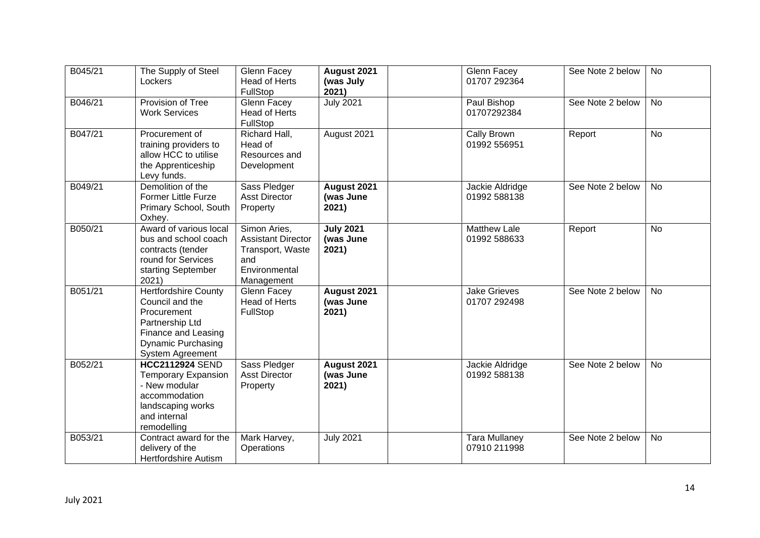| B045/21 | The Supply of Steel<br>Lockers                                                                                                                           | Glenn Facey<br><b>Head of Herts</b><br>FullStop                                                     | August 2021<br>(was July<br>2021)      | <b>Glenn Facey</b><br>01707 292364   | See Note 2 below | <b>No</b> |
|---------|----------------------------------------------------------------------------------------------------------------------------------------------------------|-----------------------------------------------------------------------------------------------------|----------------------------------------|--------------------------------------|------------------|-----------|
| B046/21 | Provision of Tree<br><b>Work Services</b>                                                                                                                | Glenn Facey<br><b>Head of Herts</b><br>FullStop                                                     | <b>July 2021</b>                       | Paul Bishop<br>01707292384           | See Note 2 below | <b>No</b> |
| B047/21 | Procurement of<br>training providers to<br>allow HCC to utilise<br>the Apprenticeship<br>Levy funds.                                                     | Richard Hall,<br>Head of<br>Resources and<br>Development                                            | August 2021                            | Cally Brown<br>01992 556951          | Report           | <b>No</b> |
| B049/21 | Demolition of the<br><b>Former Little Furze</b><br>Primary School, South<br>Oxhey.                                                                       | Sass Pledger<br><b>Asst Director</b><br>Property                                                    | August 2021<br>(was June<br>2021)      | Jackie Aldridge<br>01992 588138      | See Note 2 below | <b>No</b> |
| B050/21 | Award of various local<br>bus and school coach<br>contracts (tender<br>round for Services<br>starting September<br>2021)                                 | Simon Aries,<br><b>Assistant Director</b><br>Transport, Waste<br>and<br>Environmental<br>Management | <b>July 2021</b><br>(was June<br>2021) | <b>Matthew Lale</b><br>01992 588633  | Report           | <b>No</b> |
| B051/21 | <b>Hertfordshire County</b><br>Council and the<br>Procurement<br>Partnership Ltd<br>Finance and Leasing<br>Dynamic Purchasing<br><b>System Agreement</b> | Glenn Facey<br><b>Head of Herts</b><br>FullStop                                                     | August 2021<br>(was June<br>2021)      | <b>Jake Grieves</b><br>01707 292498  | See Note 2 below | <b>No</b> |
| B052/21 | <b>HCC2112924 SEND</b><br><b>Temporary Expansion</b><br>- New modular<br>accommodation<br>landscaping works<br>and internal<br>remodelling               | Sass Pledger<br><b>Asst Director</b><br>Property                                                    | August 2021<br>(was June<br>2021)      | Jackie Aldridge<br>01992 588138      | See Note 2 below | <b>No</b> |
| B053/21 | Contract award for the<br>delivery of the<br><b>Hertfordshire Autism</b>                                                                                 | Mark Harvey,<br>Operations                                                                          | <b>July 2021</b>                       | <b>Tara Mullaney</b><br>07910 211998 | See Note 2 below | <b>No</b> |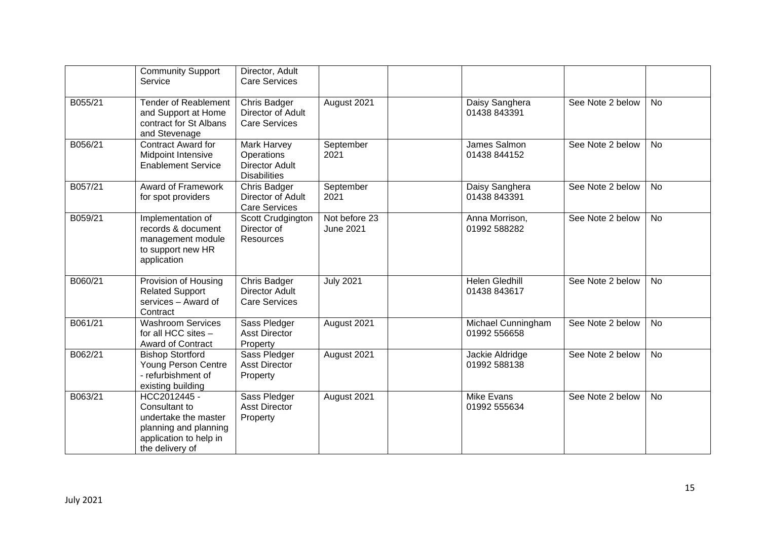|         | <b>Community Support</b><br>Service                                                                                         | Director, Adult<br><b>Care Services</b>                                   |                                   |                                       |                  |           |
|---------|-----------------------------------------------------------------------------------------------------------------------------|---------------------------------------------------------------------------|-----------------------------------|---------------------------------------|------------------|-----------|
| B055/21 | <b>Tender of Reablement</b><br>and Support at Home<br>contract for St Albans<br>and Stevenage                               | Chris Badger<br>Director of Adult<br><b>Care Services</b>                 | August 2021                       | Daisy Sanghera<br>01438 843391        | See Note 2 below | <b>No</b> |
| B056/21 | Contract Award for<br><b>Midpoint Intensive</b><br><b>Enablement Service</b>                                                | Mark Harvey<br>Operations<br><b>Director Adult</b><br><b>Disabilities</b> | September<br>2021                 | James Salmon<br>01438 844152          | See Note 2 below | <b>No</b> |
| B057/21 | Award of Framework<br>for spot providers                                                                                    | Chris Badger<br>Director of Adult<br><b>Care Services</b>                 | September<br>2021                 | Daisy Sanghera<br>01438 843391        | See Note 2 below | <b>No</b> |
| B059/21 | Implementation of<br>records & document<br>management module<br>to support new HR<br>application                            | Scott Crudgington<br>Director of<br><b>Resources</b>                      | Not before 23<br><b>June 2021</b> | Anna Morrison,<br>01992 588282        | See Note 2 below | <b>No</b> |
| B060/21 | Provision of Housing<br><b>Related Support</b><br>services - Award of<br>Contract                                           | Chris Badger<br><b>Director Adult</b><br><b>Care Services</b>             | <b>July 2021</b>                  | <b>Helen Gledhill</b><br>01438 843617 | See Note 2 below | <b>No</b> |
| B061/21 | <b>Washroom Services</b><br>for all HCC sites -<br>Award of Contract                                                        | Sass Pledger<br><b>Asst Director</b><br>Property                          | August 2021                       | Michael Cunningham<br>01992 556658    | See Note 2 below | <b>No</b> |
| B062/21 | <b>Bishop Stortford</b><br>Young Person Centre<br>- refurbishment of<br>existing building                                   | Sass Pledger<br><b>Asst Director</b><br>Property                          | August 2021                       | Jackie Aldridge<br>01992 588138       | See Note 2 below | <b>No</b> |
| B063/21 | HCC2012445 -<br>Consultant to<br>undertake the master<br>planning and planning<br>application to help in<br>the delivery of | Sass Pledger<br><b>Asst Director</b><br>Property                          | August 2021                       | Mike Evans<br>01992 555634            | See Note 2 below | <b>No</b> |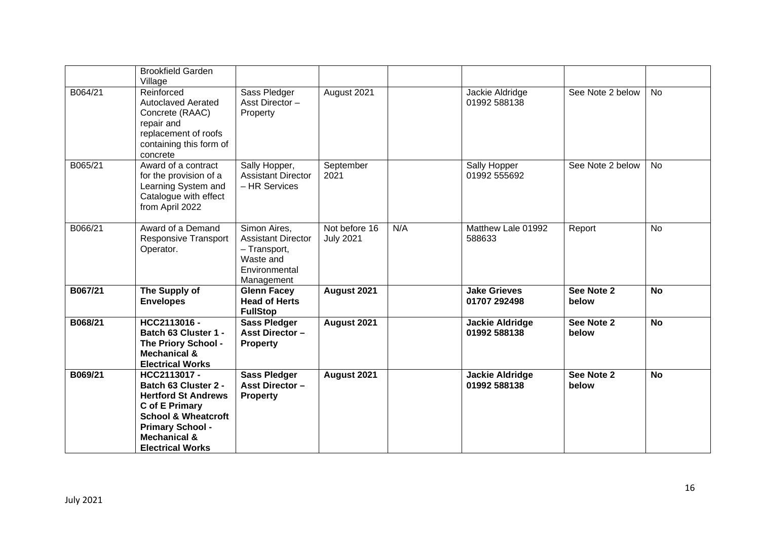|         | <b>Brookfield Garden</b><br>Village                                                                                                                                                                            |                                                                                                       |                                   |     |                                        |                     |           |
|---------|----------------------------------------------------------------------------------------------------------------------------------------------------------------------------------------------------------------|-------------------------------------------------------------------------------------------------------|-----------------------------------|-----|----------------------------------------|---------------------|-----------|
| B064/21 | Reinforced<br><b>Autoclaved Aerated</b><br>Concrete (RAAC)<br>repair and<br>replacement of roofs<br>containing this form of<br>concrete                                                                        | Sass Pledger<br>Asst Director-<br>Property                                                            | August 2021                       |     | Jackie Aldridge<br>01992 588138        | See Note 2 below    | <b>No</b> |
| B065/21 | Award of a contract<br>for the provision of a<br>Learning System and<br>Catalogue with effect<br>from April 2022                                                                                               | Sally Hopper,<br><b>Assistant Director</b><br>- HR Services                                           | September<br>2021                 |     | Sally Hopper<br>01992 555692           | See Note 2 below    | <b>No</b> |
| B066/21 | Award of a Demand<br><b>Responsive Transport</b><br>Operator.                                                                                                                                                  | Simon Aires,<br><b>Assistant Director</b><br>- Transport,<br>Waste and<br>Environmental<br>Management | Not before 16<br><b>July 2021</b> | N/A | Matthew Lale 01992<br>588633           | Report              | <b>No</b> |
| B067/21 | The Supply of<br><b>Envelopes</b>                                                                                                                                                                              | <b>Glenn Facey</b><br><b>Head of Herts</b><br><b>FullStop</b>                                         | August 2021                       |     | <b>Jake Grieves</b><br>01707 292498    | See Note 2<br>below | <b>No</b> |
| B068/21 | HCC2113016 -<br>Batch 63 Cluster 1 -<br>The Priory School -<br><b>Mechanical &amp;</b><br><b>Electrical Works</b>                                                                                              | <b>Sass Pledger</b><br><b>Asst Director -</b><br><b>Property</b>                                      | August 2021                       |     | <b>Jackie Aldridge</b><br>01992 588138 | See Note 2<br>below | <b>No</b> |
| B069/21 | HCC2113017 -<br><b>Batch 63 Cluster 2 -</b><br><b>Hertford St Andrews</b><br>C of E Primary<br><b>School &amp; Wheatcroft</b><br><b>Primary School -</b><br><b>Mechanical &amp;</b><br><b>Electrical Works</b> | <b>Sass Pledger</b><br><b>Asst Director -</b><br><b>Property</b>                                      | August 2021                       |     | <b>Jackie Aldridge</b><br>01992 588138 | See Note 2<br>below | <b>No</b> |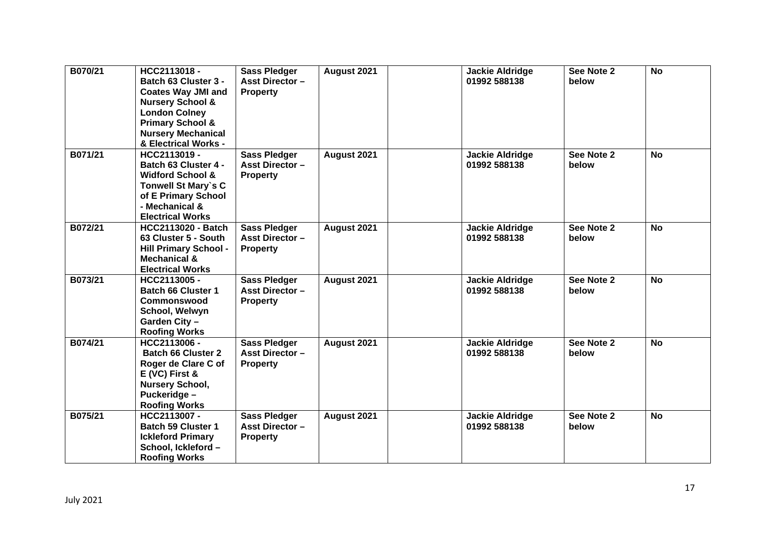| B070/21 | HCC2113018-<br>Batch 63 Cluster 3 -<br><b>Coates Way JMI and</b><br><b>Nursery School &amp;</b><br><b>London Colney</b><br><b>Primary School &amp;</b><br><b>Nursery Mechanical</b><br>& Electrical Works - | <b>Sass Pledger</b><br><b>Asst Director -</b><br><b>Property</b> | August 2021 | <b>Jackie Aldridge</b><br>01992 588138 | See Note 2<br>below | <b>No</b> |
|---------|-------------------------------------------------------------------------------------------------------------------------------------------------------------------------------------------------------------|------------------------------------------------------------------|-------------|----------------------------------------|---------------------|-----------|
| B071/21 | HCC2113019 -<br>Batch 63 Cluster 4 -<br><b>Widford School &amp;</b><br>Tonwell St Mary's C<br>of E Primary School<br>- Mechanical &<br><b>Electrical Works</b>                                              | <b>Sass Pledger</b><br><b>Asst Director -</b><br><b>Property</b> | August 2021 | <b>Jackie Aldridge</b><br>01992 588138 | See Note 2<br>below | <b>No</b> |
| B072/21 | <b>HCC2113020 - Batch</b><br>63 Cluster 5 - South<br><b>Hill Primary School -</b><br><b>Mechanical &amp;</b><br><b>Electrical Works</b>                                                                     | <b>Sass Pledger</b><br><b>Asst Director-</b><br><b>Property</b>  | August 2021 | <b>Jackie Aldridge</b><br>01992 588138 | See Note 2<br>below | <b>No</b> |
| B073/21 | HCC2113005 -<br><b>Batch 66 Cluster 1</b><br><b>Commonswood</b><br>School, Welwyn<br>Garden City -<br><b>Roofing Works</b>                                                                                  | <b>Sass Pledger</b><br><b>Asst Director -</b><br><b>Property</b> | August 2021 | <b>Jackie Aldridge</b><br>01992 588138 | See Note 2<br>below | <b>No</b> |
| B074/21 | HCC2113006 -<br><b>Batch 66 Cluster 2</b><br>Roger de Clare C of<br>$E$ (VC) First &<br><b>Nursery School,</b><br>Puckeridge -<br><b>Roofing Works</b>                                                      | <b>Sass Pledger</b><br><b>Asst Director -</b><br><b>Property</b> | August 2021 | <b>Jackie Aldridge</b><br>01992 588138 | See Note 2<br>below | <b>No</b> |
| B075/21 | HCC2113007 -<br><b>Batch 59 Cluster 1</b><br><b>Ickleford Primary</b><br>School, Ickleford-<br><b>Roofing Works</b>                                                                                         | <b>Sass Pledger</b><br><b>Asst Director -</b><br><b>Property</b> | August 2021 | <b>Jackie Aldridge</b><br>01992 588138 | See Note 2<br>below | <b>No</b> |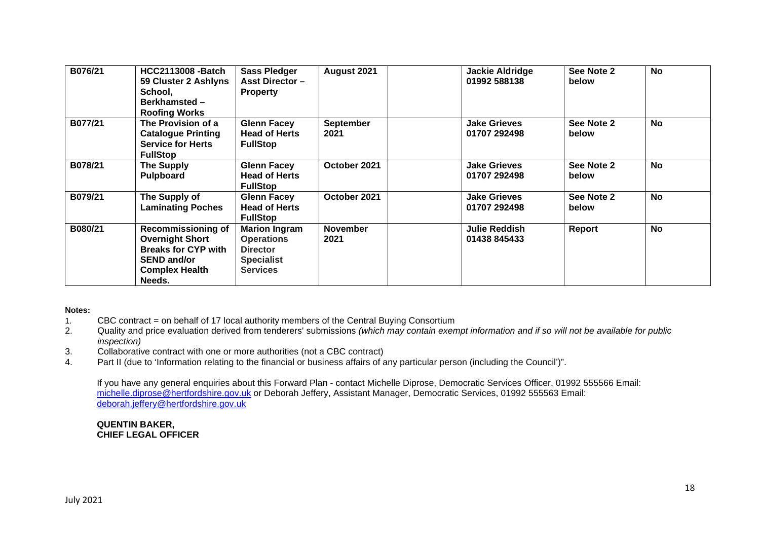| B076/21 | <b>HCC2113008 -Batch</b><br>59 Cluster 2 Ashlyns<br>School,<br><b>Berkhamsted-</b><br><b>Roofing Works</b>                                 | <b>Sass Pledger</b><br><b>Asst Director -</b><br><b>Property</b>                                     | August 2021              | <b>Jackie Aldridge</b><br>01992 588138 | See Note 2<br>below | <b>No</b> |
|---------|--------------------------------------------------------------------------------------------------------------------------------------------|------------------------------------------------------------------------------------------------------|--------------------------|----------------------------------------|---------------------|-----------|
| B077/21 | The Provision of a<br><b>Catalogue Printing</b><br><b>Service for Herts</b><br><b>FullStop</b>                                             | <b>Glenn Facey</b><br><b>Head of Herts</b><br><b>FullStop</b>                                        | <b>September</b><br>2021 | <b>Jake Grieves</b><br>01707 292498    | See Note 2<br>below | <b>No</b> |
| B078/21 | <b>The Supply</b><br>Pulpboard                                                                                                             | <b>Glenn Facey</b><br><b>Head of Herts</b><br><b>FullStop</b>                                        | October 2021             | <b>Jake Grieves</b><br>01707 292498    | See Note 2<br>below | <b>No</b> |
| B079/21 | The Supply of<br><b>Laminating Poches</b>                                                                                                  | <b>Glenn Facey</b><br><b>Head of Herts</b><br><b>FullStop</b>                                        | October 2021             | <b>Jake Grieves</b><br>01707 292498    | See Note 2<br>below | <b>No</b> |
| B080/21 | <b>Recommissioning of</b><br><b>Overnight Short</b><br><b>Breaks for CYP with</b><br><b>SEND and/or</b><br><b>Complex Health</b><br>Needs. | <b>Marion Ingram</b><br><b>Operations</b><br><b>Director</b><br><b>Specialist</b><br><b>Services</b> | <b>November</b><br>2021  | Julie Reddish<br>01438 845433          | Report              | <b>No</b> |

### **Notes:**

- 1. CBC contract = on behalf of 17 local authority members of the Central Buying Consortium
- 2. Quality and price evaluation derived from tenderers' submissions *(which may contain exempt information and if so will not be available for public inspection)*
- 3. Collaborative contract with one or more authorities (not a CBC contract)
- 4. Part II (due to 'Information relating to the financial or business affairs of any particular person (including the Council')".

If you have any general enquiries about this Forward Plan - contact Michelle Diprose, Democratic Services Officer, 01992 555566 Email: michelle.diprose@hertfordshire.gov.uk or Deborah Jeffery, Assistant Manager, Democratic Services, 01992 555563 Email: deborah.jeffery@hertfordshire.gov.uk

**QUENTIN BAKER, CHIEF LEGAL OFFICER**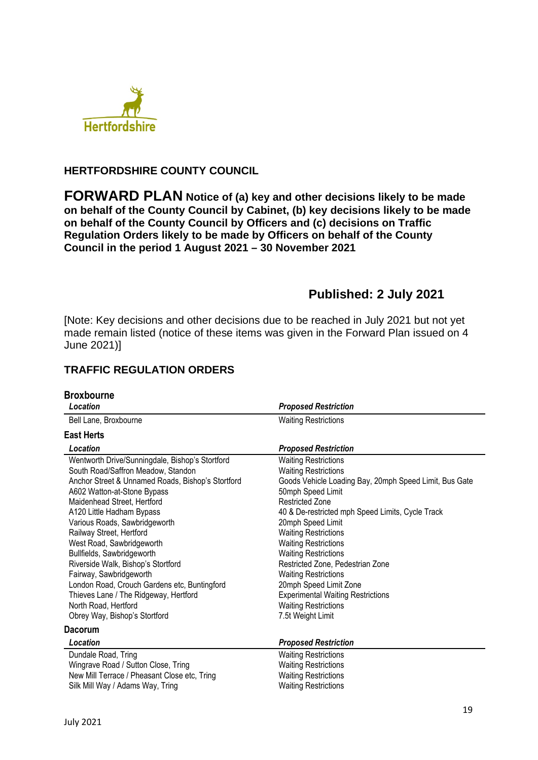

## **HERTFORDSHIRE COUNTY COUNCIL**

**FORWARD PLAN Notice of (a) key and other decisions likely to be made on behalf of the County Council by Cabinet, (b) key decisions likely to be made on behalf of the County Council by Officers and (c) decisions on Traffic Regulation Orders likely to be made by Officers on behalf of the County Council in the period 1 August 2021 – 30 November 2021** 

# **Published: 2 July 2021**

[Note: Key decisions and other decisions due to be reached in July 2021 but not yet made remain listed (notice of these items was given in the Forward Plan issued on 4 June 2021)]

# **TRAFFIC REGULATION ORDERS**

| <b>Broxbourne</b><br>Location                                                                                                                                                                                                                                                                                                                                                                                                                                                                                                                                                                      | <b>Proposed Restriction</b>                                                                                                                                                                                                                                                                                                                                                                                                                                                                                                            |
|----------------------------------------------------------------------------------------------------------------------------------------------------------------------------------------------------------------------------------------------------------------------------------------------------------------------------------------------------------------------------------------------------------------------------------------------------------------------------------------------------------------------------------------------------------------------------------------------------|----------------------------------------------------------------------------------------------------------------------------------------------------------------------------------------------------------------------------------------------------------------------------------------------------------------------------------------------------------------------------------------------------------------------------------------------------------------------------------------------------------------------------------------|
| Bell Lane, Broxbourne                                                                                                                                                                                                                                                                                                                                                                                                                                                                                                                                                                              | <b>Waiting Restrictions</b>                                                                                                                                                                                                                                                                                                                                                                                                                                                                                                            |
| <b>East Herts</b>                                                                                                                                                                                                                                                                                                                                                                                                                                                                                                                                                                                  |                                                                                                                                                                                                                                                                                                                                                                                                                                                                                                                                        |
| Location                                                                                                                                                                                                                                                                                                                                                                                                                                                                                                                                                                                           | <b>Proposed Restriction</b>                                                                                                                                                                                                                                                                                                                                                                                                                                                                                                            |
| Wentworth Drive/Sunningdale, Bishop's Stortford<br>South Road/Saffron Meadow, Standon<br>Anchor Street & Unnamed Roads, Bishop's Stortford<br>A602 Watton-at-Stone Bypass<br>Maidenhead Street, Hertford<br>A120 Little Hadham Bypass<br>Various Roads, Sawbridgeworth<br>Railway Street, Hertford<br>West Road, Sawbridgeworth<br>Bullfields, Sawbridgeworth<br>Riverside Walk, Bishop's Stortford<br>Fairway, Sawbridgeworth<br>London Road, Crouch Gardens etc, Buntingford<br>Thieves Lane / The Ridgeway, Hertford<br>North Road, Hertford<br>Obrey Way, Bishop's Stortford<br><b>Dacorum</b> | <b>Waiting Restrictions</b><br><b>Waiting Restrictions</b><br>Goods Vehicle Loading Bay, 20mph Speed Limit, Bus Gate<br>50mph Speed Limit<br><b>Restricted Zone</b><br>40 & De-restricted mph Speed Limits, Cycle Track<br>20mph Speed Limit<br><b>Waiting Restrictions</b><br><b>Waiting Restrictions</b><br><b>Waiting Restrictions</b><br>Restricted Zone, Pedestrian Zone<br><b>Waiting Restrictions</b><br>20mph Speed Limit Zone<br><b>Experimental Waiting Restrictions</b><br><b>Waiting Restrictions</b><br>7.5t Weight Limit |
| Location                                                                                                                                                                                                                                                                                                                                                                                                                                                                                                                                                                                           | <b>Proposed Restriction</b>                                                                                                                                                                                                                                                                                                                                                                                                                                                                                                            |
| Dundale Road, Tring<br>Wingrave Road / Sutton Close, Tring<br>New Mill Terrace / Pheasant Close etc, Tring<br>Silk Mill Way / Adams Way, Tring                                                                                                                                                                                                                                                                                                                                                                                                                                                     | <b>Waiting Restrictions</b><br><b>Waiting Restrictions</b><br><b>Waiting Restrictions</b><br><b>Waiting Restrictions</b>                                                                                                                                                                                                                                                                                                                                                                                                               |